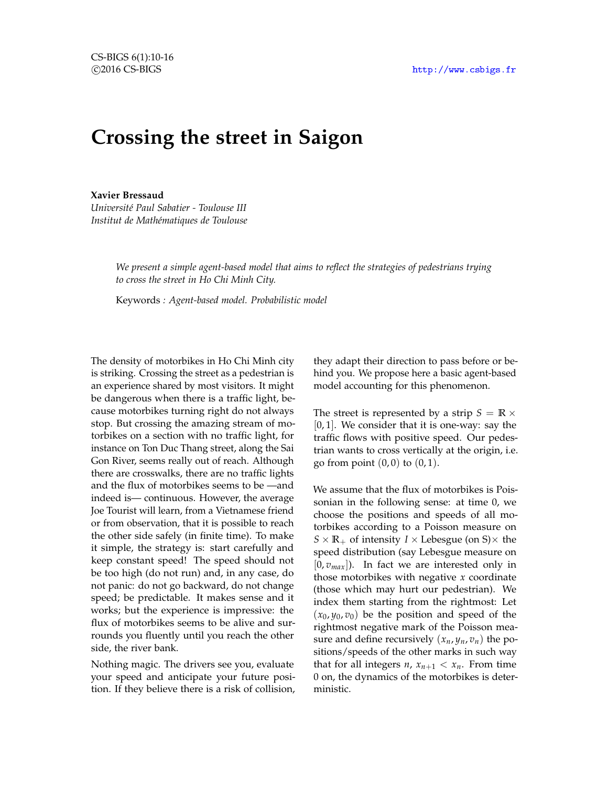# **Crossing the street in Saigon**

**Xavier Bressaud**

*Université Paul Sabatier - Toulouse III Institut de Mathématiques de Toulouse*

> *We present a simple agent-based model that aims to reflect the strategies of pedestrians trying to cross the street in Ho Chi Minh City.*

Keywords *: Agent-based model. Probabilistic model*

The density of motorbikes in Ho Chi Minh city is striking. Crossing the street as a pedestrian is an experience shared by most visitors. It might be dangerous when there is a traffic light, because motorbikes turning right do not always stop. But crossing the amazing stream of motorbikes on a section with no traffic light, for instance on Ton Duc Thang street, along the Sai Gon River, seems really out of reach. Although there are crosswalks, there are no traffic lights and the flux of motorbikes seems to be —and indeed is— continuous. However, the average Joe Tourist will learn, from a Vietnamese friend or from observation, that it is possible to reach the other side safely (in finite time). To make it simple, the strategy is: start carefully and keep constant speed! The speed should not be too high (do not run) and, in any case, do not panic: do not go backward, do not change speed; be predictable. It makes sense and it works; but the experience is impressive: the flux of motorbikes seems to be alive and surrounds you fluently until you reach the other side, the river bank.

Nothing magic. The drivers see you, evaluate your speed and anticipate your future position. If they believe there is a risk of collision,

they adapt their direction to pass before or behind you. We propose here a basic agent-based model accounting for this phenomenon.

The street is represented by a strip  $S = \mathbb{R} \times$ [0, 1]. We consider that it is one-way: say the traffic flows with positive speed. Our pedestrian wants to cross vertically at the origin, i.e. go from point  $(0, 0)$  to  $(0, 1)$ .

We assume that the flux of motorbikes is Poissonian in the following sense: at time 0, we choose the positions and speeds of all motorbikes according to a Poisson measure on  $S \times \mathbb{R}_+$  of intensity  $I \times$  Lebesgue (on S) $\times$  the speed distribution (say Lebesgue measure on  $[0, v_{max}]$ ). In fact we are interested only in those motorbikes with negative *x* coordinate (those which may hurt our pedestrian). We index them starting from the rightmost: Let  $(x_0, y_0, v_0)$  be the position and speed of the rightmost negative mark of the Poisson measure and define recursively  $(x_n, y_n, v_n)$  the positions/speeds of the other marks in such way that for all integers *n*,  $x_{n+1} < x_n$ . From time 0 on, the dynamics of the motorbikes is deterministic.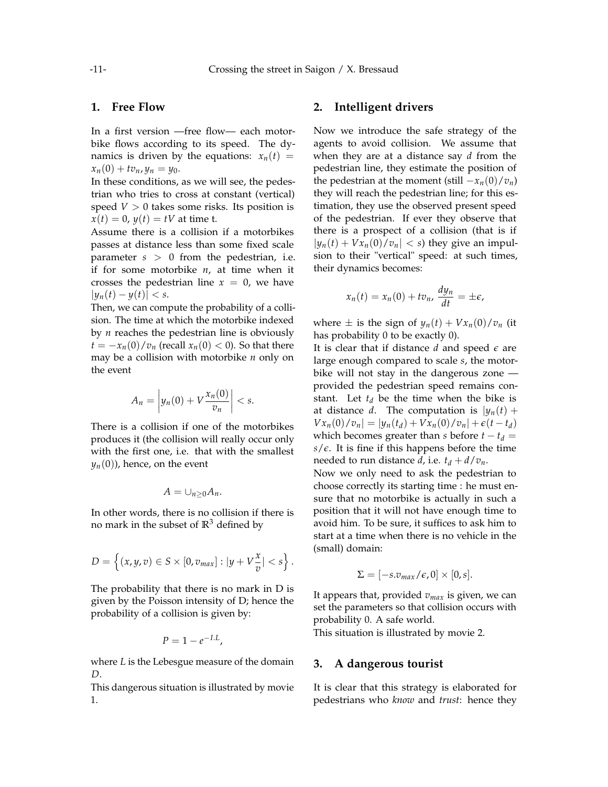## **1. Free Flow**

In a first version —free flow— each motorbike flows according to its speed. The dynamics is driven by the equations:  $x_n(t)$  =  $x_n(0) + tv_n, y_n = y_0.$ 

In these conditions, as we will see, the pedestrian who tries to cross at constant (vertical) speed  $V > 0$  takes some risks. Its position is  $x(t) = 0$ ,  $y(t) = tV$  at time t.

Assume there is a collision if a motorbikes passes at distance less than some fixed scale parameter *s* > 0 from the pedestrian, i.e. if for some motorbike *n*, at time when it crosses the pedestrian line  $x = 0$ , we have  $|y_n(t) - y(t)| < s.$ 

Then, we can compute the probability of a collision. The time at which the motorbike indexed by *n* reaches the pedestrian line is obviously  $t = -x_n(0)/v_n$  (recall  $x_n(0) < 0$ ). So that there may be a collision with motorbike *n* only on the event

$$
A_n = \left| y_n(0) + V \frac{x_n(0)}{v_n} \right| < s.
$$

There is a collision if one of the motorbikes produces it (the collision will really occur only with the first one, i.e. that with the smallest  $y_n(0)$ , hence, on the event

$$
A=\cup_{n\geq 0}A_n.
$$

In other words, there is no collision if there is no mark in the subset of  $\mathbb{R}^3$  defined by

$$
D=\left\{(x,y,v)\in S\times[0,v_{max}]:|y+V\frac{x}{v}|
$$

The probability that there is no mark in D is given by the Poisson intensity of D; hence the probability of a collision is given by:

$$
P=1-e^{-I.L},
$$

where *L* is the Lebesgue measure of the domain *D*.

This dangerous situation is illustrated by movie 1.

### **2. Intelligent drivers**

Now we introduce the safe strategy of the agents to avoid collision. We assume that when they are at a distance say *d* from the pedestrian line, they estimate the position of the pedestrian at the moment (still  $-x_n(0)/v_n$ ) they will reach the pedestrian line; for this estimation, they use the observed present speed of the pedestrian. If ever they observe that there is a prospect of a collision (that is if  $|y_n(t) + Vx_n(0)/v_n| < s$  they give an impulsion to their "vertical" speed: at such times, their dynamics becomes:

$$
x_n(t) = x_n(0) + tv_n, \frac{dy_n}{dt} = \pm \epsilon,
$$

where  $\pm$  is the sign of  $y_n(t) + Vx_n(0)/v_n$  (it has probability 0 to be exactly 0).

It is clear that if distance *d* and speed *e* are large enough compared to scale *s*, the motorbike will not stay in the dangerous zone provided the pedestrian speed remains constant. Let  $t_d$  be the time when the bike is at distance *d*. The computation is  $|\psi_n(t)| +$  $Vx_n(0)/v_n| = |y_n(t_d) + Vx_n(0)/v_n| + \epsilon(t - t_d)$ which becomes greater than *s* before  $t - t_d =$  $s/\epsilon$ . It is fine if this happens before the time needed to run distance *d*, i.e.  $t_d + d/v_n$ .

Now we only need to ask the pedestrian to choose correctly its starting time : he must ensure that no motorbike is actually in such a position that it will not have enough time to avoid him. To be sure, it suffices to ask him to start at a time when there is no vehicle in the (small) domain:

$$
\Sigma = [-s.v_{max}/\epsilon, 0] \times [0, s].
$$

It appears that, provided *vmax* is given, we can set the parameters so that collision occurs with probability 0. A safe world.

This situation is illustrated by movie 2.

#### **3. A dangerous tourist**

It is clear that this strategy is elaborated for pedestrians who *know* and *trust*: hence they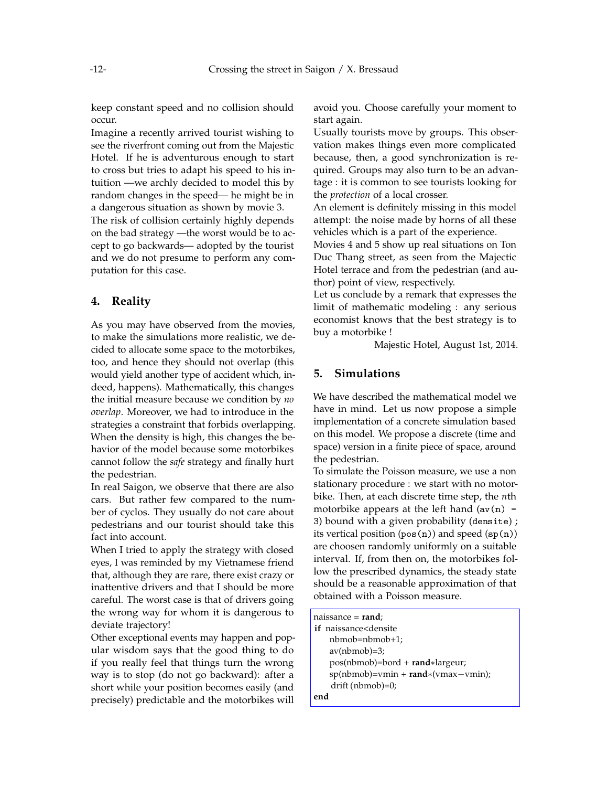keep constant speed and no collision should occur.

Imagine a recently arrived tourist wishing to see the riverfront coming out from the Majestic Hotel. If he is adventurous enough to start to cross but tries to adapt his speed to his intuition —we archly decided to model this by random changes in the speed— he might be in a dangerous situation as shown by movie 3.

The risk of collision certainly highly depends on the bad strategy —the worst would be to accept to go backwards— adopted by the tourist and we do not presume to perform any computation for this case.

# **4. Reality**

As you may have observed from the movies, to make the simulations more realistic, we decided to allocate some space to the motorbikes, too, and hence they should not overlap (this would yield another type of accident which, indeed, happens). Mathematically, this changes the initial measure because we condition by *no overlap*. Moreover, we had to introduce in the strategies a constraint that forbids overlapping. When the density is high, this changes the behavior of the model because some motorbikes cannot follow the *safe* strategy and finally hurt the pedestrian.

In real Saigon, we observe that there are also cars. But rather few compared to the number of cyclos. They usually do not care about pedestrians and our tourist should take this fact into account.

When I tried to apply the strategy with closed eyes, I was reminded by my Vietnamese friend that, although they are rare, there exist crazy or inattentive drivers and that I should be more careful. The worst case is that of drivers going the wrong way for whom it is dangerous to deviate trajectory!

Other exceptional events may happen and popular wisdom says that the good thing to do if you really feel that things turn the wrong way is to stop (do not go backward): after a short while your position becomes easily (and precisely) predictable and the motorbikes will avoid you. Choose carefully your moment to start again.

Usually tourists move by groups. This observation makes things even more complicated because, then, a good synchronization is required. Groups may also turn to be an advantage : it is common to see tourists looking for the *protection* of a local crosser.

An element is definitely missing in this model attempt: the noise made by horns of all these vehicles which is a part of the experience.

Movies 4 and 5 show up real situations on Ton Duc Thang street, as seen from the Majectic Hotel terrace and from the pedestrian (and author) point of view, respectively.

Let us conclude by a remark that expresses the limit of mathematic modeling : any serious economist knows that the best strategy is to buy a motorbike !

Majestic Hotel, August 1st, 2014.

#### **5. Simulations**

We have described the mathematical model we have in mind. Let us now propose a simple implementation of a concrete simulation based on this model. We propose a discrete (time and space) version in a finite piece of space, around the pedestrian.

To simulate the Poisson measure, we use a non stationary procedure : we start with no motorbike. Then, at each discrete time step, the *n*th motorbike appears at the left hand  $(av(n) =$ 3) bound with a given probability (densite) ; its vertical position  $(p \circ s(n))$  and speed  $(sp(n))$ are choosen randomly uniformly on a suitable interval. If, from then on, the motorbikes follow the prescribed dynamics, the steady state should be a reasonable approximation of that obtained with a Poisson measure.

| naissance = <b>rand</b> ;                               |  |
|---------------------------------------------------------|--|
| if naissance <densite< th=""><th></th></densite<>       |  |
| $nbmob = nbmob + 1;$                                    |  |
| $av(nb \mod m) = 3;$                                    |  |
| pos(nbmob)=bord + rand*largeur;                         |  |
| $sp(nb \mod m) = v \mod m + r \mod s \mod (v \mod m)$ ; |  |
| $drift (nbmob)=0;$                                      |  |
| end                                                     |  |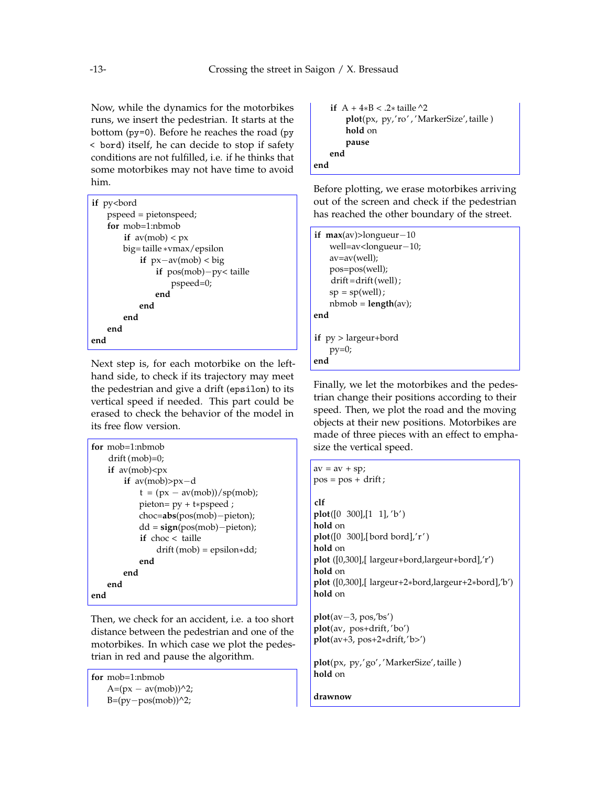Now, while the dynamics for the motorbikes runs, we insert the pedestrian. It starts at the bottom (py=0). Before he reaches the road (py < bord) itself, he can decide to stop if safety conditions are not fulfilled, i.e. if he thinks that some motorbikes may not have time to avoid him.

| if py <bord< th=""></bord<> |
|-----------------------------|
| pspeed = pietonspeed;       |
| $for$ mob=1:nbmob           |
| if $av(mob) < px$           |
| big=taille *vmax/epsilon    |
| if $px-av(mob) < big$       |
| if $pos(mob) - py <$ taille |
| $pspeed=0;$                 |
| end                         |
| end                         |
| end                         |
| end                         |
| end                         |

Next step is, for each motorbike on the lefthand side, to check if its trajectory may meet the pedestrian and give a drift (epsilon) to its vertical speed if needed. This part could be erased to check the behavior of the model in its free flow version.

```
for mob=1:nbmob
   drift (mob)=0;
   if av(mob) < pxif av(mob)>px−d
           t = (px - av(mob))/sp(mob);pieton= py + t∗pspeed ;
           choc=abs(pos(mob)−pieton);
           dd = sign(pos(mob)−pieton);
           if choc < taille
               drift (mob) = epsilon∗dd;
           end
       end
   end
end
```
Then, we check for an accident, i.e. a too short distance between the pedestrian and one of the motorbikes. In which case we plot the pedestrian in red and pause the algorithm.

```
for mob=1:nbmob
   A=(px - av(mob))^2;B=(py-pos(mob))^{2};
```

```
if A + 4∗B < .2∗ taille ^2
        plot(px, py,'ro' , 'MarkerSize', taille )
        hold on
        pause
    end
end
```
Before plotting, we erase motorbikes arriving out of the screen and check if the pedestrian has reached the other boundary of the street.

```
if max(av)>longueur−10
    well=av<longueur−10;
   av=av(well);
   pos=pos(well);
    drift =drift (well) ;
   sp = sp(well);nbmob = length(av);
end
if py > largeur+bord
   py=0;end
```
Finally, we let the motorbikes and the pedestrian change their positions according to their speed. Then, we plot the road and the moving objects at their new positions. Motorbikes are made of three pieces with an effect to emphasize the vertical speed.

```
av = av + sp;pos = pos + drift;clf
plot([0 300],[1 1], 'b' )
hold on
plot([0 300],[ bord bord],'r' )
hold on
plot ([0,300],[ largeur+bord,largeur+bord],'r')
hold on
plot ([0,300],[ largeur+2∗bord,largeur+2∗bord],'b')
hold on
```

```
plot(av−3, pos,'bs')
plot(av, pos+drift, 'bo')
plot(av+3, pos+2∗drift,'b>')
```
**plot**(px, py,'go', 'MarkerSize', taille ) **hold** on

**drawnow**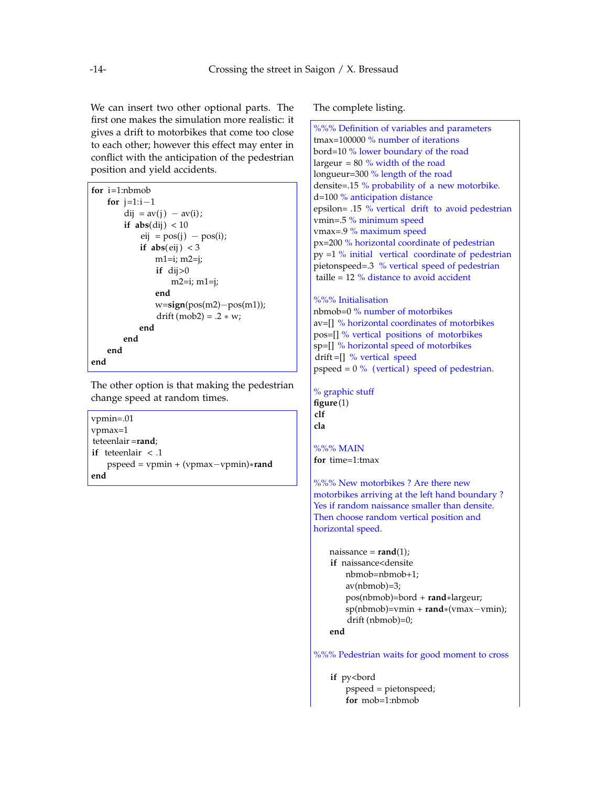We can insert two other optional parts. The first one makes the simulation more realistic: it gives a drift to motorbikes that come too close to each other; however this effect may enter in conflict with the anticipation of the pedestrian position and yield accidents.

| for $i=1:nb \mod b$            |  |
|--------------------------------|--|
| for $i=1:i-1$                  |  |
| $dij = av(j) - av(i);$         |  |
| if $abs(di) < 10$              |  |
| $eij = pos(j) - pos(i);$       |  |
| if $abs(eij) < 3$              |  |
| $m1=i; m2=j;$                  |  |
| if $di > 0$                    |  |
| $m2=i; m1=i;$                  |  |
| end                            |  |
| $w = sign(pos(m2) - pos(m1));$ |  |
| $drift (mob2) = .2 * w;$       |  |
| end                            |  |
| end                            |  |
| end                            |  |
| end                            |  |

The other option is that making the pedestrian change speed at random times.

```
vpmin=.01
vpmax=1
teteenlair =rand;
if teteenlair < .1
   pspeed = vpmin + (vpmax−vpmin)∗rand
end
```
The complete listing.

%%% Definition of variables and parameters tmax=100000 % number of iterations bord=10 % lower boundary of the road largeur =  $80\%$  width of the road longueur=300 % length of the road densite=.15 % probability of a new motorbike. d=100 % anticipation distance epsilon= .15 % vertical drift to avoid pedestrian vmin=.5 % minimum speed vmax=.9 % maximum speed px=200 % horizontal coordinate of pedestrian py =1 % initial vertical coordinate of pedestrian pietonspeed=.3 % vertical speed of pedestrian taille = 12 % distance to avoid accident %%% Initialisation nbmob=0 % number of motorbikes av=[] % horizontal coordinates of motorbikes pos=[] % vertical positions of motorbikes sp=[] % horizontal speed of motorbikes drift  $=$ []  $\%$  vertical speed pspeed =  $0\%$  (vertical) speed of pedestrian. % graphic stuff **figure**(1) **clf cla** %%% MAIN **for** time=1:tmax %%% New motorbikes ? Are there new motorbikes arriving at the left hand boundary ? Yes if random naissance smaller than densite. Then choose random vertical position and horizontal speed. naissance = **rand**(1); **if** naissance<densite nbmob=nbmob+1; av(nbmob)=3; pos(nbmob)=bord + **rand**∗largeur; sp(nbmob)=vmin + **rand**∗(vmax−vmin); drift (nbmob)=0; **end** %%% Pedestrian waits for good moment to cross if py<br/>bord pspeed = pietonspeed; **for** mob=1:nbmob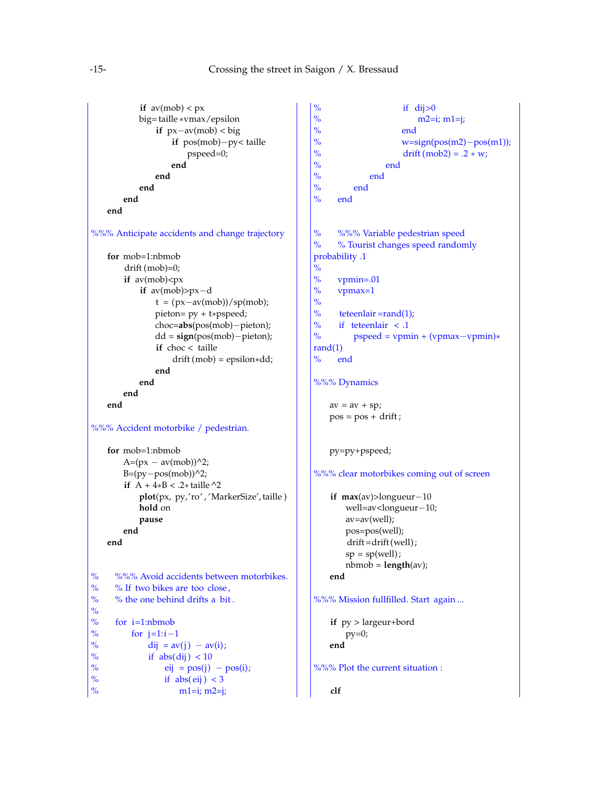```
if av(mob) < pxbig= taille ∗vmax/epsilon
                if px−av(mob) < big
                    if pos(mob)−py< taille
                        pspeed=0;
                    end
                end
            end
        end
    end
%%% Anticipate accidents and change trajectory
    for mob=1:nbmob
        drift (mob)=0;
        if av(mob) < pxif av(mob)>px−d
                t = (px-av(mob))/sp(mob);pieton= py + t∗pspeed;
                choc=abs(pos(mob)−pieton);
                dd = sign(pos(mob)−pieton);
                if choc < taille
                     drift (mob) = epsilon∗dd;
                end
            end
        end
    end
%%% Accident motorbike / pedestrian.
    for mob=1:nbmob
        A=(px - av(mob))^{2};
        B=(py−pos(mob))^2;
        if A + 4∗B < .2∗ taille ^2
            plot(px, py,'ro' , 'MarkerSize', taille )
            hold on
            pause
        end
    end
% %%% Avoid accidents between motorbikes.
% % If two bikes are too close,<br>% % the one behind drifts a bit
      % % the one behind drifts a bit .
%\frac{9}{9}% for i=1:nb \mod 9<br>% for j=1:i-1% for j=1:i-1<br>% dij = av
% dij = av(j) – av(i);<br>% if abs(dii) < 10
% if abs(di) < 10<br>% eij = pos(j)eij = pos(i) - pos(i);% if abs(eij) < 3<br>% ml=i: m2=im1=i; m2=i;
```

```
% if di > 0% m2=i; m1=j;<br>% end
                     end
% w=sign(pos(m2)−pos(m1));<br>% drift(mob2) = .2 * w;
% drift (mob2) = .2 * w;<br>% endend
% \frac{\%}{\%} end
% \frac{\%}{\%} end
      end
% %%% Variable pedestrian speed
% % Tourist changes speed randomly
probability .1
%\frac{9}{6}% vpmin=.01<br>% vpmax=1
     vpmax=1
\frac{9}{9}% teteenlair =rand(1);<br>% if teteenlair < .1
% if tetenlair \lt .1<br>% pspeed = vpm
         % pspeed = vpmin + (vpmax−vpmin)∗
rand(1)
% end
%%% Dynamics
    av = av + sp;pos = pos + drift;py=py+pspeed;
%%% clear motorbikes coming out of screen
    if max(av)>longueur−10
       well=av<longueur−10;
       av=av(well);
       pos=pos(well);
        drift =drift (well) ;
       sp = sp(well);nbmob = length(av);
    end
%%% Mission fullfilled. Start again ...
    if py > largeur+bord
       py=0;
    end
%%% Plot the current situation :
    clf
```